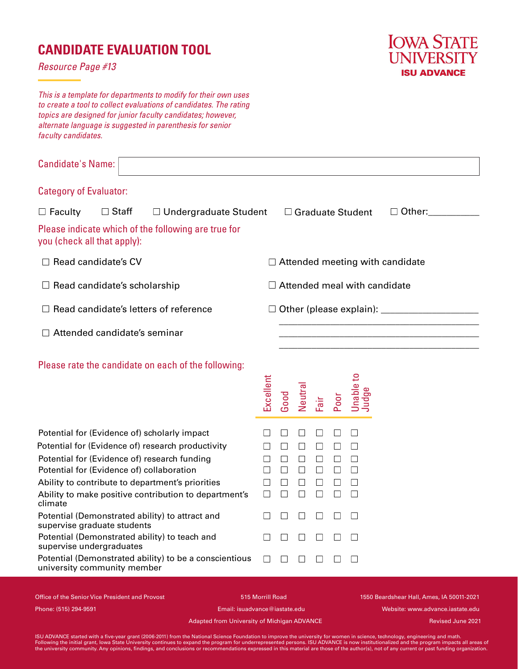## **CANDIDATE EVALUATION TOOL**

*Resource Page #13*

**IOWA STATE UNIVERSITY ISU ADVANCE** 

*This is a template for departments to modify for their own uses to create a tool to collect evaluations of candidates. The rating topics are designed for junior faculty candidates; however, alternate language is suggested in parenthesis for senior faculty candidates.*

| <b>Candidate's Name:</b>                                                                                                                                                                                                                                                                                                                                                  |                                                        |                                                      |                                                                      |                                          |                       |                                                                   |  |  |
|---------------------------------------------------------------------------------------------------------------------------------------------------------------------------------------------------------------------------------------------------------------------------------------------------------------------------------------------------------------------------|--------------------------------------------------------|------------------------------------------------------|----------------------------------------------------------------------|------------------------------------------|-----------------------|-------------------------------------------------------------------|--|--|
| <b>Category of Evaluator:</b>                                                                                                                                                                                                                                                                                                                                             |                                                        |                                                      |                                                                      |                                          |                       |                                                                   |  |  |
| $\Box$ Staff<br>$\Box$ Faculty<br>$\Box$ Undergraduate Student                                                                                                                                                                                                                                                                                                            |                                                        |                                                      |                                                                      | $\Box$ Other:<br>$\Box$ Graduate Student |                       |                                                                   |  |  |
| Please indicate which of the following are true for<br>you (check all that apply):                                                                                                                                                                                                                                                                                        |                                                        |                                                      |                                                                      |                                          |                       |                                                                   |  |  |
| Read candidate's CV                                                                                                                                                                                                                                                                                                                                                       |                                                        | $\Box$ Attended meeting with candidate               |                                                                      |                                          |                       |                                                                   |  |  |
| $\Box$ Attended meal with candidate<br>Read candidate's scholarship                                                                                                                                                                                                                                                                                                       |                                                        |                                                      |                                                                      |                                          |                       |                                                                   |  |  |
| $\Box$ Read candidate's letters of reference                                                                                                                                                                                                                                                                                                                              |                                                        |                                                      |                                                                      |                                          |                       |                                                                   |  |  |
| $\Box$ Attended candidate's seminar                                                                                                                                                                                                                                                                                                                                       |                                                        |                                                      |                                                                      |                                          |                       |                                                                   |  |  |
| Please rate the candidate on each of the following:                                                                                                                                                                                                                                                                                                                       | Excellent                                              | Good                                                 | Neutral                                                              | Fair                                     | Poor                  | Jnable <sub>to</sub><br>Judge                                     |  |  |
| Potential for (Evidence of) scholarly impact<br>Potential for (Evidence of) research productivity<br>Potential for (Evidence of) research funding<br>Potential for (Evidence of) collaboration<br>Ability to contribute to department's priorities<br>Ability to make positive contribution to department's<br>climate<br>Potential (Demonstrated ability) to attract and | П<br>$\mathbf{L}$<br>П<br>П<br>$\perp$<br>П<br>$\perp$ | $\Box$<br>$\Box$<br>$\Box$<br>$\Box$<br>$\perp$<br>П | Ш<br>$\mathsf{L}$<br>$\Box$<br>$\Box$<br>П<br>$\Box$<br>$\mathbf{1}$ | П<br>$\Box$<br>П                         | П<br>П<br>П<br>$\Box$ | $\mathsf{L}$<br>$\mathsf{L}$<br>П<br>П<br>$\perp$<br>П<br>$\perp$ |  |  |
| supervise graduate students<br>Potential (Demonstrated ability) to teach and                                                                                                                                                                                                                                                                                              | $\perp$                                                |                                                      | $\mathsf{L}$                                                         |                                          |                       |                                                                   |  |  |
| supervise undergraduates<br>Potential (Demonstrated ability) to be a conscientious<br>university community member                                                                                                                                                                                                                                                         | П                                                      |                                                      |                                                                      |                                          |                       |                                                                   |  |  |

Office of the Senior Vice President and Provost 1550 Seardshear Hall, Ames, IA 50011-2021 Phone: (515) 294-9591 Email: isuadvance@iastate.edu Website: www.advance.iastate.edu

Revised June 2021

Adapted from University of Michigan ADVANCE

ISU ADVANCE started with a five-year grant (2006-2011) from the National Science Foundation to improve the university for women in science, technology, engineering and math.<br>Following the initial grant, lowa State Universi